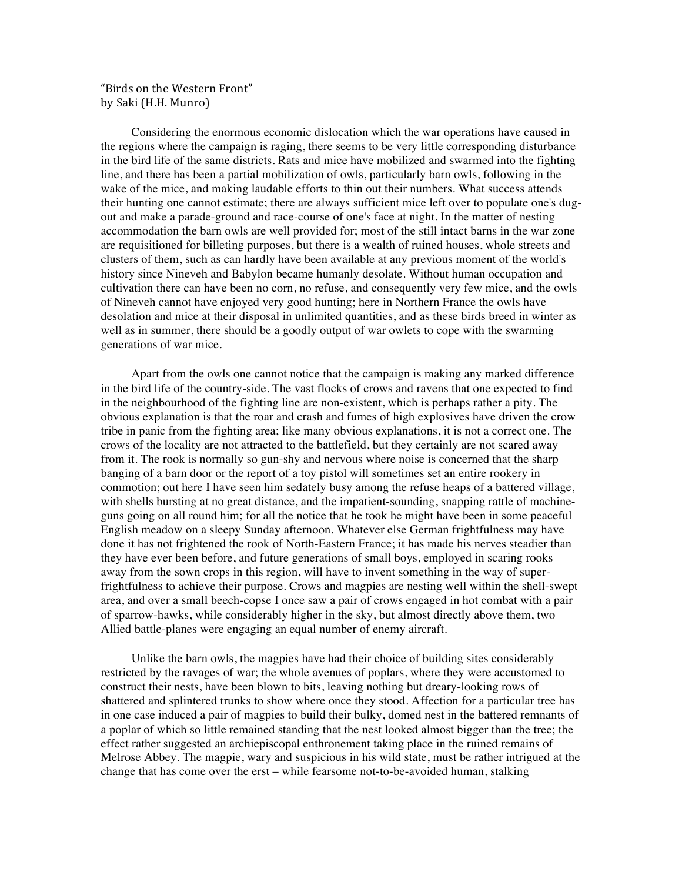"Birds on the Western Front" by Saki (H.H. Munro)

Considering the enormous economic dislocation which the war operations have caused in the regions where the campaign is raging, there seems to be very little corresponding disturbance in the bird life of the same districts. Rats and mice have mobilized and swarmed into the fighting line, and there has been a partial mobilization of owls, particularly barn owls, following in the wake of the mice, and making laudable efforts to thin out their numbers. What success attends their hunting one cannot estimate; there are always sufficient mice left over to populate one's dugout and make a parade-ground and race-course of one's face at night. In the matter of nesting accommodation the barn owls are well provided for; most of the still intact barns in the war zone are requisitioned for billeting purposes, but there is a wealth of ruined houses, whole streets and clusters of them, such as can hardly have been available at any previous moment of the world's history since Nineveh and Babylon became humanly desolate. Without human occupation and cultivation there can have been no corn, no refuse, and consequently very few mice, and the owls of Nineveh cannot have enjoyed very good hunting; here in Northern France the owls have desolation and mice at their disposal in unlimited quantities, and as these birds breed in winter as well as in summer, there should be a goodly output of war owlets to cope with the swarming generations of war mice.

Apart from the owls one cannot notice that the campaign is making any marked difference in the bird life of the country-side. The vast flocks of crows and ravens that one expected to find in the neighbourhood of the fighting line are non-existent, which is perhaps rather a pity. The obvious explanation is that the roar and crash and fumes of high explosives have driven the crow tribe in panic from the fighting area; like many obvious explanations, it is not a correct one. The crows of the locality are not attracted to the battlefield, but they certainly are not scared away from it. The rook is normally so gun-shy and nervous where noise is concerned that the sharp banging of a barn door or the report of a toy pistol will sometimes set an entire rookery in commotion; out here I have seen him sedately busy among the refuse heaps of a battered village, with shells bursting at no great distance, and the impatient-sounding, snapping rattle of machineguns going on all round him; for all the notice that he took he might have been in some peaceful English meadow on a sleepy Sunday afternoon. Whatever else German frightfulness may have done it has not frightened the rook of North-Eastern France; it has made his nerves steadier than they have ever been before, and future generations of small boys, employed in scaring rooks away from the sown crops in this region, will have to invent something in the way of superfrightfulness to achieve their purpose. Crows and magpies are nesting well within the shell-swept area, and over a small beech-copse I once saw a pair of crows engaged in hot combat with a pair of sparrow-hawks, while considerably higher in the sky, but almost directly above them, two Allied battle-planes were engaging an equal number of enemy aircraft.

Unlike the barn owls, the magpies have had their choice of building sites considerably restricted by the ravages of war; the whole avenues of poplars, where they were accustomed to construct their nests, have been blown to bits, leaving nothing but dreary-looking rows of shattered and splintered trunks to show where once they stood. Affection for a particular tree has in one case induced a pair of magpies to build their bulky, domed nest in the battered remnants of a poplar of which so little remained standing that the nest looked almost bigger than the tree; the effect rather suggested an archiepiscopal enthronement taking place in the ruined remains of Melrose Abbey. The magpie, wary and suspicious in his wild state, must be rather intrigued at the change that has come over the erst – while fearsome not-to-be-avoided human, stalking